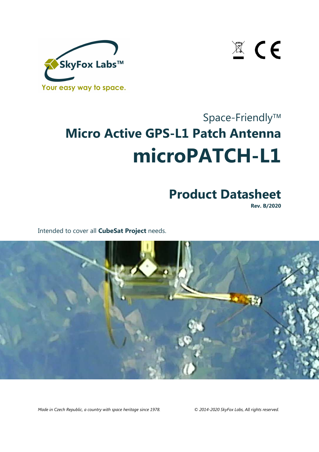

 $\mathbb{Z}$  CE

# Space-Friendly<sup>™</sup> **Micro Active GPS-L1 Patch Antenna microPATCH-L1**

## **Product Datasheet**

**Rev. B/2020** 

Intended to cover all **CubeSat Project** needs.



*Made in Czech Republic, a country with space heritage since 1978. © 2014-2020 SkyFox Labs, All rights reserved.*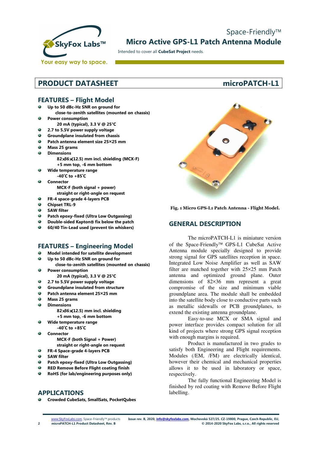

### Space-Friendly<sup>™</sup> **Micro Active GPS-L1 Patch Antenna Module**

Intended to cover all **CubeSat Project** needs.

### **PRODUCT DATASHEET microPATCH-L1**

### **FEATURES – Flight Model**

- **Up to 50 dBc-Hz SNR on ground for close-to-zenith satellites (mounted on chassis)**
- Ø. **Power consumption** 
	- **20 mA (typical), 3.3 V @ 25°C**
- ۵ **2.7 to 5.5V power supply voltage**
- **Groundplane insulated from chassis**  ۵
- ۵ **Patch antenna element size 25×25 mm**
- ۵ **Mass 25 grams**
- $\Omega$ **Dimensions** 
	- **82**×**36**×**(12.5) mm incl. shielding (MCX-F) +5 mm top, -6 mm bottom**
- **Wide temperature range** 
	- **-40˚C to +85˚C**
- ø. **Connector MCX-F (both signal + power)** 
	- **straight or right-angle on request FR-4 space-grade 4-layers PCB**
- $\ddot{\bullet}$  $\bullet$
- **Chipset TRL-9**
- $\bullet$ **SAW filter**
- $\bullet$ **Patch epoxy-fixed (Ultra Low Outgassing)**
- **Double-sided Kapton fix below the patch**
- ۰ **60/40 Tin-Lead used (prevent tin whiskers)**

### **FEATURES – Engineering Model**

- **Model intended for satellite development**
- **Up to 50 dBc-Hz SNR on ground for**  ۰
- **close-to-zenith satellites (mounted on chassis)**  Ō. **Power consumption** 
	- **20 mA (typical), 3.3 V @ 25°C**
- $\bullet$ **2.7 to 5.5V power supply voltage**
- ä. **Groundplane insulated from structure**
- $\bullet$ **Patch antenna element 25×25 mm**
- $\bullet$ **Mass 25 grams**
- Ġ. **Dimensions** 
	- **82**×**36**×**(12.5) mm incl. shielding +5 mm top, -6 mm bottom**
- **Wide temperature range**   $\bullet$
- **-40˚C to +85˚C**  ۵
	- **Connector MCX-F (both Signal + Power)**
	- **straight or right-angle on request**
- **FR-4 Space-grade 4-layers PCB**  ۵
- $\bullet$ **SAW filter**
- ò **Patch epoxy-fixed (Ultra Low Outgassing)**
- ō **RED Remove Before Flight coating finish**
- **RoHS (for lab/engineering purposes only)**

### **APPLICATIONS**

**Crowded CubeSats, SmallSats, PocketQubes** 



**Fig. 1 Micro GPS-L1 Patch Antenna - Flight Model.** 

### **GENERAL DESCRIPTION**

The microPATCH-L1 is miniature version of the Space-Friendly<sup>™</sup> GPS-L1 CubeSat Active Antenna module specially designed to provide strong signal for GPS satellites reception in space. Integrated Low Noise Amplifier as well as SAW filter are matched together with 25×25 mm Patch antenna and optimized ground plane. Outer dimensions of 82×36 mm represent a great compromise of the size and minimum viable groundplane area. The module shall be embedded into the satellite body close to conductive parts such as metallic sidewalls or PCB groundplanes, to extend the existing antenna groundplane.

 Easy-to-use MCX or SMA signal and power interface provides compact solution for all kind of projects where strong GPS signal reception with enough margins is required.

 Product is manufactured in two grades to satisfy both Engineering and Flight requirements. Modules (/EM, /FM) are electrically identical, however their chemical and mechanical properties allows it to be used in laboratory or space, respectively.

 The fully functional Engineering Model is finished by red coating with Remove Before Flight labelling.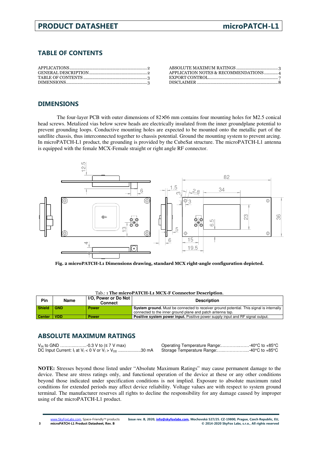### **TABLE OF CONTENTS**

| APPLICATION NOTES & RECOMMENDATIONS4 |
|--------------------------------------|
|                                      |
|                                      |

### **DIMENSIONS**

The four-layer PCB with outer dimensions of  $82\times36$  mm contains four mounting holes for M2.5 conical head screws. Metalized vias below screw heads are electrically insulated from the inner groundplane potential to prevent grounding loops. Conductive mounting holes are expected to be mounted onto the metallic part of the satellite chassis, thus interconnected together to chassis potential. Ground the mounting system to prevent arcing. In microPATCH-L1 product, the grounding is provided by the CubeSat structure. The microPATCH-L1 antenna is equipped with the female MCX-Female straight or right angle RF connector.



**Fig. 2 microPATCH-L1 Dimensions drawing, standard MCX right-angle configuration depicted.** 

| Tab.: 1 The micropatich-Li MCX-F Connector Description. |            |                                 |                                                                                                 |  |
|---------------------------------------------------------|------------|---------------------------------|-------------------------------------------------------------------------------------------------|--|
| <b>Pin</b>                                              | Name       | I/O, Power or Do Not<br>Connect | <b>Description</b>                                                                              |  |
| <b>Shield</b>                                           | <b>GND</b> | <b>Power</b>                    | <b>System ground.</b> Must be connected to receiver ground potential. This signal is internally |  |
|                                                         |            |                                 | connected to the inner ground plane and patch antenna tap.                                      |  |
| <b>Center</b>                                           | VDD        | <b>Power</b>                    | <b>Positive system power input.</b> Positive power supply input and RF signal output.           |  |

### Tab.: 1 **The microPATCH-L1 MCX-F Connector Description**.

### **ABSOLUTE MAXIMUM RATINGS**

 $V_{\text{IN}}$  to GND …………………-0.3 V to (≤ 7 V max)  $V_{\text{IN}}$  to enterture Range: ..............................40°C to +85°C<br>DC Input Current: I<sub>I</sub> at V<sub>I</sub> < 0 V or V<sub>I</sub> > V<sub>DD</sub> …………………30 mA Storage Temperature Range:......... DC Input Current:  $I_1$  at  $V_1 < 0$  V or  $V_1 > V_{DD}$  ......................30 mA

**NOTE:** Stresses beyond those listed under "Absolute Maximum Ratings" may cause permanent damage to the device. These are stress ratings only, and functional operation of the device at these or any other conditions beyond those indicated under specification conditions is not implied. Exposure to absolute maximum rated conditions for extended periods may affect device reliability. Voltage values are with respect to system ground terminal. The manufacturer reserves all rights to decline the responsibility for any damage caused by improper using of the microPATCH-L1 product.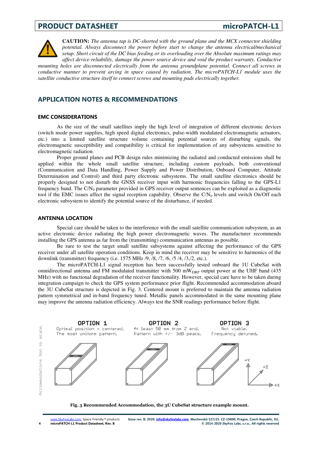

**CAUTION:** *The antenna tap is DC-shorted with the ground plane and the MCX connector shielding potential. Always disconnect the power before start to change the antenna electrical/mechanical setup. Short circuit of the DC bias feeding or its overloading over the Absolute maximum ratings may affect device reliability, damage the power source device and void the product warranty. Conductive* 

*mounting holes are disconnected electrically from the antenna groundplane potential. Connect all screws in conductive manner to prevent arcing in space caused by radiation. The microPATCH-L1 module uses the satellite conductive structure itself to connect screws and mounting pads electrically together.*

### **APPLICATION NOTES & RECOMMENDATIONS**

### **EMC CONSIDERATIONS**

 As the size of the small satellites imply the high level of integration of different electronic devices (switch mode power supplies, high speed digital electronics, pulse-width modulated electromagnetic actuators, etc.) into a limited satellite structure volume containing potential sources of disturbing signals, the electromagnetic susceptibility and compatibility is critical for implementation of any subsystems sensitive to electromagnetic radiation.

 Proper ground planes and PCB design rules minimizing the radiated and conducted emissions shall be applied within the whole small satellite structure, including custom payloads, both conventional (Communication and Data Handling, Power Supply and Power Distribution, Onboard Computer, Attitude Determination and Control) and third party electronic subsystems. The small satellite electronics should be properly designed to not disturb the GNSS receiver input with harmonic frequencies falling to the GPS-L1 frequency band. The  $C/N_0$  parameter provided in GPS receiver output sentences can be exploited as a diagnostic tool if the EMC issues affect the signal reception capability. Observe the  $C/N<sub>0</sub>$  levels and switch On/Off each electronic subsystem to identify the potential source of the disturbance, if needed.

### **ANTENNA LOCATION**

 Special care should be taken to the interference with the small satellite communication subsystem, as an active electronic device radiating the high power electromagnetic waves. The manufacturer recommends installing the GPS antenna as far from the (transmitting) communication antennas as possible.

 Be sure to test the target small satellite subsystems against affecting the performance of the GPS receiver under all satellite operation conditions. Keep in mind the receiver may be sensitive to harmonics of the downlink (transmitter) frequency (i.e. 1575 MHz /9, /8, /7, /6, /5 /4, /3,/2, etc.).

 The microPATCH-L1 signal reception has been successfully tested onboard the 1U CubeSat with omnidirectional antenna and FM modulated transmitter with 500 mW<sub>EIRP</sub> output power at the UHF band (435) MHz) with no functional degradation of the receiver functionality. However, special care have to be taken during integration campaign to check the GPS system performance prior flight. Recommended accommodation aboard the 3U CubeSat structure is depicted in Fig. 3. Centered mount is preferred to maintain the antenna radiation pattern symmetrical and in-band frequency tuned. Metallic panels accommodated in the same mounting plane may improve the antenna radiation efficiency. Always test the SNR readings performance before flight.



### **Fig. 3 Recommended Accommodation, the 3U CubeSat structure example mount.**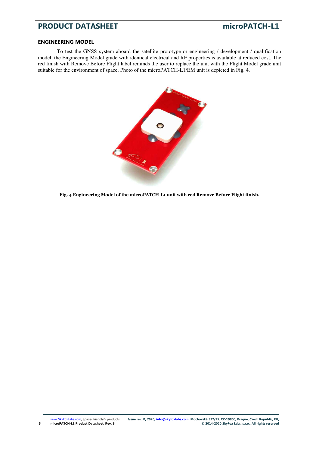### **ENGINEERING MODEL**

**5** 

 To test the GNSS system aboard the satellite prototype or engineering / development / qualification model, the Engineering Model grade with identical electrical and RF properties is available at reduced cost. The red finish with Remove Before Flight label reminds the user to replace the unit with the Flight Model grade unit suitable for the environment of space. Photo of the microPATCH-L1/EM unit is depicted in Fig. 4.



**Fig. 4 Engineering Model of the microPATCH-L1 unit with red Remove Before Flight finish.**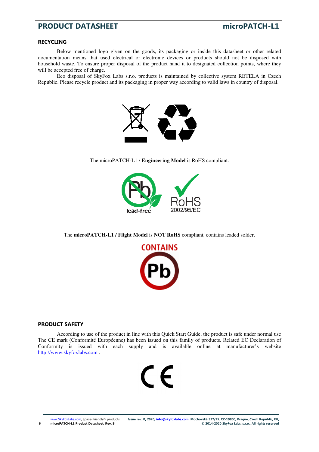### **RECYCLING**

 Below mentioned logo given on the goods, its packaging or inside this datasheet or other related documentation means that used electrical or electronic devices or products should not be disposed with household waste. To ensure proper disposal of the product hand it to designated collection points, where they will be accepted free of charge.

 Eco disposal of SkyFox Labs s.r.o. products is maintained by collective system RETELA in Czech Republic. Please recycle product and its packaging in proper way according to valid laws in country of disposal.



The microPATCH-L1 / **Engineering Model** is RoHS compliant.



The **microPATCH-L1 / Flight Model** is **NOT RoHS** compliant, contains leaded solder.



### **PRODUCT SAFETY**

 According to use of the product in line with this Quick Start Guide, the product is safe under normal use The CE mark (Conformité Européenne) has been issued on this family of products. Related EC Declaration of Conformity is issued with each supply and is available online at manufacturer's website http://www.skyfoxlabs.com .

# $\epsilon$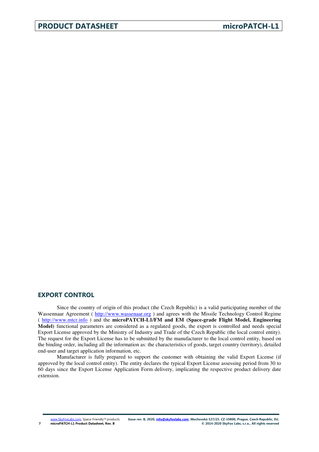### **EXPORT CONTROL**

Since the country of origin of this product (the Czech Republic) is a valid participating member of the Wassennaar Agreement (http://www.wassenaar.org) and agrees with the Missile Technology Control Regime ( http://www.mtcr.info ) and the **microPATCH-L1/FM and EM (Space-grade Flight Model, Engineering Model)** functional parameters are considered as a regulated goods, the export is controlled and needs special Export License approved by the Ministry of Industry and Trade of the Czech Republic (the local control entity). The request for the Export License has to be submitted by the manufacturer to the local control entity, based on the binding order, including all the information as: the characteristics of goods, target country (territory), detailed end-user and target application information, etc.

 Manufacturer is fully prepared to support the customer with obtaining the valid Export License (if approved by the local control entity). The entity declares the typical Export License assessing period from 30 to 60 days since the Export License Application Form delivery, implicating the respective product delivery date extension.

www.SkyFoxLabs.com, Space-Friendly™ products **microPATCH-L1 Product Datasheet, Rev. B**

**7**